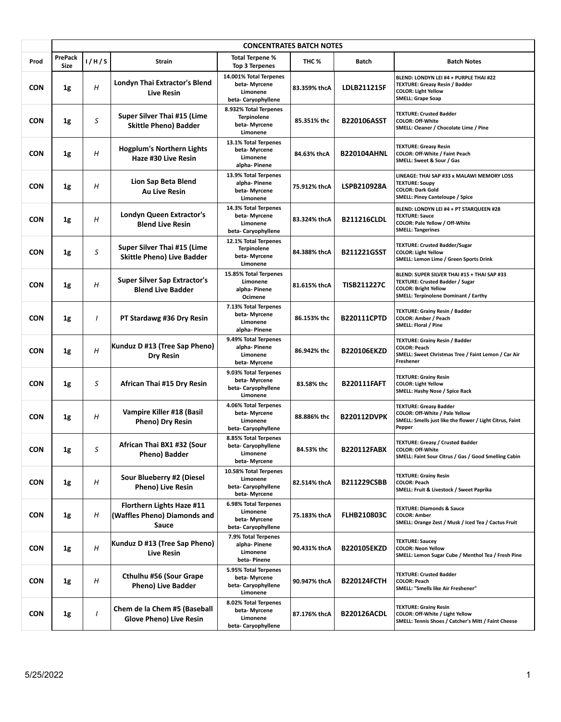|            |                               |                  |                                                                    | <b>CONCENTRATES BATCH NOTES</b>                                           |              |                    |                                                                                                                                                              |
|------------|-------------------------------|------------------|--------------------------------------------------------------------|---------------------------------------------------------------------------|--------------|--------------------|--------------------------------------------------------------------------------------------------------------------------------------------------------------|
| Prod       | <b>PrePack</b><br><b>Size</b> | 1/H/S            | <b>Strain</b>                                                      | <b>Total Terpene %</b><br><b>Top 3 Terpenes</b>                           | THC %        | <b>Batch</b>       | <b>Batch Notes</b>                                                                                                                                           |
| <b>CON</b> | 1g                            | $\boldsymbol{H}$ | Londyn Thai Extractor's Blend<br><b>Live Resin</b>                 | 14.001% Total Terpenes<br>beta-Myrcene<br>Limonene<br>beta-Caryophyllene  | 83.359% thcA | LDLB211215F        | BLEND: LONDYN LEI #4 + PURPLE THAI #22<br><b>TEXTURE: Greasy Resin / Badder</b><br><b>COLOR: Light Yellow</b><br><b>SMELL: Grape Soap</b>                    |
| <b>CON</b> | 1g                            | S                | Super Silver Thai #15 (Lime<br><b>Skittle Pheno) Badder</b>        | 8.932% Total Terpenes<br><b>Terpinolene</b><br>beta-Myrcene<br>Limonene   | 85.351% thc  | <b>B220106ASST</b> | <b>TEXTURE: Crusted Badder</b><br><b>COLOR: Off-White</b><br>SMELL: Cleaner / Chocolate Lime / Pine                                                          |
| <b>CON</b> | 1g                            | H                | <b>Hogplum's Northern Lights</b><br>Haze #30 Live Resin            | 13.1% Total Terpenes<br>beta- Myrcene<br>Limonene<br>alpha-Pinene         | 84.63% thcA  | B220104AHNL        | <b>TEXTURE: Greasy Resin</b><br>COLOR: Off-White / Faint Peach<br>SMELL: Sweet & Sour / Gas                                                                  |
| <b>CON</b> | 1g                            | Η                | Lion Sap Beta Blend<br><b>Au Live Resin</b>                        | 13.9% Total Terpenes<br>alpha-Pinene<br>beta-Myrcene<br>Limonene          | 75.912% thcA | LSPB210928A        | LINEAGE: THAI SAP #33 x MALAWI MEMORY LOSS<br><b>TEXTURE: Soupy</b><br><b>COLOR: Dark Gold</b><br><b>SMELL: Piney Canteloupe / Spice</b>                     |
| <b>CON</b> | 1g                            | H                | Londyn Queen Extractor's<br><b>Blend Live Resin</b>                | 14.3% Total Terpenes<br>beta-Myrcene<br>Limonene<br>beta-Caryophyllene    | 83.324% thcA | <b>B211216CLDL</b> | BLEND: LONDYN LEI #4 + PT STARQUEEN #28<br><b>TEXTURE: Sauce</b><br>COLOR: Pale Yellow / Off-White<br><b>SMELL: Tangerines</b>                               |
| <b>CON</b> | 1g                            | S                | Super Silver Thai #15 (Lime<br><b>Skittle Pheno) Live Badder</b>   | 12.1% Total Terpenes<br><b>Terpinolene</b><br>beta-Myrcene<br>Limonene    | 84.388% thcA | <b>B211221GSST</b> | <b>TEXTURE: Crusted Badder/Sugar</b><br><b>COLOR: Light Yellow</b><br>SMELL: Lemon Lime / Green Sports Drink                                                 |
| <b>CON</b> | 1g                            | Η                | <b>Super Silver Sap Extractor's</b><br><b>Blend Live Badder</b>    | 15.85% Total Terpenes<br>Limonene<br>alpha- Pinene<br>Ocimene             | 81.615% thcA | <b>TISB211227C</b> | BLEND: SUPER SILVER THAI #15 + THAI SAP #33<br><b>TEXTURE: Crusted Badder / Sugar</b><br><b>COLOR: Bright Yellow</b><br>SMELL: Terpinolene Dominant / Earthy |
| <b>CON</b> | 1g                            | I                | PT Stardawg #36 Dry Resin                                          | 7.13% Total Terpenes<br>beta- Myrcene<br>Limonene<br>alpha-Pinene         | 86.153% thc  | B220111CPTD        | <b>TEXTURE: Grainy Resin / Badder</b><br>COLOR: Amber / Peach<br>SMELL: Floral / Pine                                                                        |
| <b>CON</b> | 1g                            | H                | Kunduz D #13 (Tree Sap Pheno)<br><b>Dry Resin</b>                  | 9.49% Total Terpenes<br>alpha- Pinene<br>Limonene<br>beta- Myrcene        | 86.942% thc  | <b>B220106EKZD</b> | <b>TEXTURE: Grainy Resin / Badder</b><br><b>COLOR: Peach</b><br>SMELL: Sweet Christmas Tree / Faint Lemon / Car Air<br><b>Freshener</b>                      |
| <b>CON</b> | 1g                            | S                | African Thai #15 Dry Resin                                         | 9.03% Total Terpenes<br>beta-Myrcene<br>beta-Caryophyllene<br>Limonene    | 83.58% thc   | <b>B220111FAFT</b> | <b>TEXTURE: Grainy Resin</b><br><b>COLOR: Light Yellow</b><br>SMELL: Hashy Nose / Spice Rack                                                                 |
| <b>CON</b> | 1g                            | Η                | Vampire Killer #18 (Basil<br>Pheno) Dry Resin                      | 4.06% Total Terpenes<br>beta-Myrcene<br>Limonene<br>beta-Caryophyllene    | 88.886% thc  | <b>B220112DVPK</b> | <b>TEXTURE: Greasy Badder</b><br>COLOR: Off-White / Pale Yellow<br>SMELL: Smells just like the flower / Light Citrus, Faint<br>Pepper                        |
| <b>CON</b> | 1g                            | S                | African Thai BX1 #32 (Sour<br>Pheno) Badder                        | 8.85% Total Terpenes<br>beta-Caryophyllene<br>Limonene<br>beta- Myrcene   | 84.53% thc   | <b>B220112FABX</b> | <b>TEXTURE: Greasy / Crusted Badder</b><br><b>COLOR: Off-White</b><br>SMELL: Faint Sour Citrus / Gas / Good Smelling Cabin                                   |
| CON        | 1g                            | Н                | Sour Blueberry #2 (Diesel<br><b>Pheno) Live Resin</b>              | 10.58% Total Terpenes<br>Limonene<br>beta- Caryophyllene<br>beta- Myrcene | 82.514% thcA | <b>B211229CSBB</b> | <b>TEXTURE: Grainy Resin</b><br><b>COLOR: Peach</b><br>SMELL: Fruit & Livestock / Sweet Paprika                                                              |
| <b>CON</b> | 1g                            | Н                | Florthern Lights Haze #11<br>(Waffles Pheno) Diamonds and<br>Sauce | 6.98% Total Terpenes<br>Limonene<br>beta-Myrcene<br>beta- Caryophyllene   | 75.183% thcA | <b>FLHB210803C</b> | <b>TEXTURE: Diamonds &amp; Sauce</b><br><b>COLOR: Amber</b><br>SMELL: Orange Zest / Musk / Iced Tea / Cactus Fruit                                           |
| CON        | 1g                            | Η                | Kunduz D #13 (Tree Sap Pheno)<br><b>Live Resin</b>                 | 7.9% Total Terpenes<br>alpha- Pinene<br>Limonene<br>beta-Pinene           | 90.431% thcA | <b>B220105EKZD</b> | <b>TEXTURE: Saucey</b><br><b>COLOR: Neon Yellow</b><br>SMELL: Lemon Sugar Cube / Menthol Tea / Fresh Pine                                                    |
| CON        | 1g                            | Н                | Cthulhu #56 (Sour Grape<br><b>Pheno) Live Badder</b>               | 5.95% Total Terpenes<br>beta- Myrcene<br>beta- Caryophyllene<br>Limonene  | 90.947% thcA | <b>B220124FCTH</b> | <b>TEXTURE: Crusted Badder</b><br><b>COLOR: Peach</b><br>SMELL: "Smells like Air Freshener"                                                                  |
| <b>CON</b> | 1g                            |                  | Chem de la Chem #5 (Baseball<br><b>Glove Pheno) Live Resin</b>     | 8.02% Total Terpenes<br>beta- Myrcene<br>Limonene<br>beta-Caryophyllene   | 87.176% thcA | <b>B220126ACDL</b> | <b>TEXTURE: Grainy Resin</b><br>COLOR: Off-White / Light Yellow<br>SMELL: Tennis Shoes / Catcher's Mitt / Faint Cheese                                       |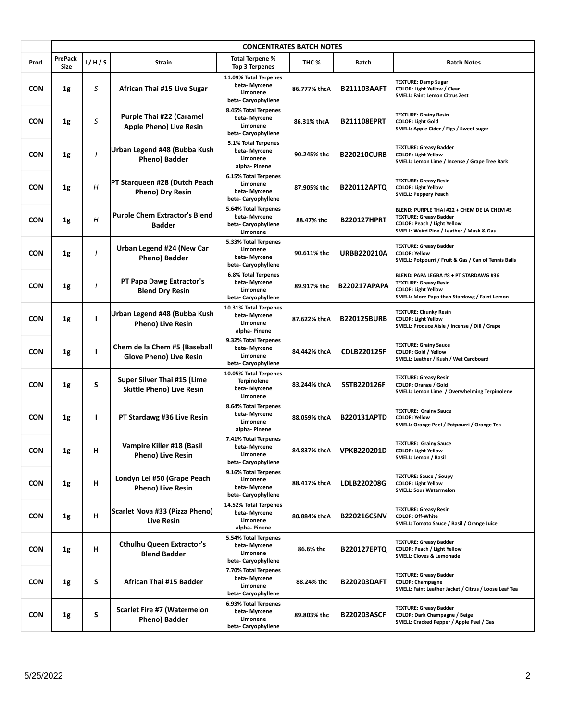|            | <b>CONCENTRATES BATCH NOTES</b> |              |                                                                   |                                                                          |                  |                     |                                                                                                                                                                |  |
|------------|---------------------------------|--------------|-------------------------------------------------------------------|--------------------------------------------------------------------------|------------------|---------------------|----------------------------------------------------------------------------------------------------------------------------------------------------------------|--|
| Prod       | <b>PrePack</b><br><b>Size</b>   | 1/H/S        | <b>Strain</b>                                                     | <b>Total Terpene %</b><br><b>Top 3 Terpenes</b>                          | THC <sub>%</sub> | <b>Batch</b>        | <b>Batch Notes</b>                                                                                                                                             |  |
| <b>CON</b> | 1g                              | S            | African Thai #15 Live Sugar                                       | 11.09% Total Terpenes<br>beta-Myrcene<br>Limonene<br>beta-Caryophyllene  | 86.777% thcA     | <b>B211103AAFT</b>  | <b>TEXTURE: Damp Sugar</b><br><b>COLOR: Light Yellow / Clear</b><br><b>SMELL: Faint Lemon Citrus Zest</b>                                                      |  |
| <b>CON</b> | 1g                              | S            | <b>Purple Thai #22 (Caramel</b><br><b>Apple Pheno) Live Resin</b> | 8.45% Total Terpenes<br>beta- Myrcene<br>Limonene<br>beta-Caryophyllene  | 86.31% thcA      | <b>B211108EPRT</b>  | <b>TEXTURE: Grainy Resin</b><br><b>COLOR: Light Gold</b><br>SMELL: Apple Cider / Figs / Sweet sugar                                                            |  |
| <b>CON</b> | 1g                              | $\mathbf{I}$ | Urban Legend #48 (Bubba Kush<br>Pheno) Badder                     | 5.1% Total Terpenes<br>beta-Myrcene<br>Limonene<br>alpha-Pinene          | 90.245% thc      | <b>B220210CURB</b>  | <b>TEXTURE: Greasy Badder</b><br><b>COLOR: Light Yellow</b><br>SMELL: Lemon Lime / Incense / Grape Tree Bark                                                   |  |
| <b>CON</b> | 1g                              | Η            | PT Starqueen #28 (Dutch Peach<br>Pheno) Dry Resin                 | 6.15% Total Terpenes<br>Limonene<br>beta-Myrcene<br>beta-Caryophyllene   | 87.905% thc      | <b>B220112APTQ</b>  | <b>TEXTURE: Greasy Resin</b><br><b>COLOR: Light Yellow</b><br><b>SMELL: Peppery Peach</b>                                                                      |  |
| <b>CON</b> | 1g                              | Η            | <b>Purple Chem Extractor's Blend</b><br><b>Badder</b>             | 5.64% Total Terpenes<br>beta-Myrcene<br>beta-Caryophyllene<br>Limonene   | 88.47% thc       | <b>B220127HPRT</b>  | BLEND: PURPLE THAI #22 + CHEM DE LA CHEM #5<br><b>TEXTURE: Greasy Badder</b><br><b>COLOR: Peach / Light Yellow</b><br>SMELL: Weird Pine / Leather / Musk & Gas |  |
| <b>CON</b> | 1g                              |              | Urban Legend #24 (New Car<br>Pheno) Badder                        | 5.33% Total Terpenes<br>Limonene<br>beta-Myrcene<br>beta-Caryophyllene   | 90.611% thc      | <b>URBB220210A</b>  | <b>TEXTURE: Greasy Badder</b><br><b>COLOR: Yellow</b><br>SMELL: Potpourri / Fruit & Gas / Can of Tennis Balls                                                  |  |
| <b>CON</b> | 1g                              | I            | PT Papa Dawg Extractor's<br><b>Blend Dry Resin</b>                | 6.8% Total Terpenes<br>beta-Myrcene<br>Limonene<br>beta-Caryophyllene    | 89.917% thc      | <b>B220217APAPA</b> | BLEND: PAPA LEGBA #8 + PT STARDAWG #36<br><b>TEXTURE: Greasy Resin</b><br><b>COLOR: Light Yellow</b><br>SMELL: More Papa than Stardawg / Faint Lemon           |  |
| <b>CON</b> | 1g                              | L            | Urban Legend #48 (Bubba Kush<br>Pheno) Live Resin                 | 10.31% Total Terpenes<br>beta-Myrcene<br>Limonene<br>alpha-Pinene        | 87.622% thcA     | <b>B220125BURB</b>  | <b>TEXTURE: Chunky Resin</b><br><b>COLOR: Light Yellow</b><br>SMELL: Produce Aisle / Incense / Dill / Grape                                                    |  |
| <b>CON</b> | 1g                              | п            | Chem de la Chem #5 (Baseball<br><b>Glove Pheno) Live Resin</b>    | 9.32% Total Terpenes<br>beta- Myrcene<br>Limonene<br>beta-Caryophyllene  | 84.442% thcA     | <b>CDLB220125F</b>  | <b>TEXTURE: Grainy Sauce</b><br>COLOR: Gold / Yellow<br>SMELL: Leather / Kush / Wet Cardboard                                                                  |  |
| <b>CON</b> | 1g                              | S            | Super Silver Thai #15 (Lime<br><b>Skittle Pheno) Live Resin</b>   | 10.05% Total Terpenes<br><b>Terpinolene</b><br>beta-Myrcene<br>Limonene  | 83.244% thcA     | SSTB220126F         | <b>TEXTURE: Greasy Resin</b><br>COLOR: Orange / Gold<br>SMELL: Lemon Lime / Overwhelming Terpinolene                                                           |  |
| <b>CON</b> | 1g                              | ı            | PT Stardawg #36 Live Resin                                        | 8.64% Total Terpenes<br>beta-Myrcene<br>Limonene<br>alpha-Pinene         | 88.059% thcA     | <b>B220131APTD</b>  | <b>TEXTURE: Grainy Sauce</b><br><b>COLOR: Yellow</b><br>SMELL: Orange Peel / Potpourri / Orange Tea                                                            |  |
| <b>CON</b> | 1g                              | н            | Vampire Killer #18 (Basil<br>Pheno) Live Resin                    | 7.41% Total Terpenes<br>beta- Myrcene<br>Limonene<br>beta-Caryophyllene  | 84.837% thcA     | <b>VPKB220201D</b>  | <b>TEXTURE: Grainy Sauce</b><br><b>COLOR: Light Yellow</b><br>SMELL: Lemon / Basil                                                                             |  |
| <b>CON</b> | 1g                              | н            | Londyn Lei #50 (Grape Peach<br><b>Pheno) Live Resin</b>           | 9.16% Total Terpenes<br>Limonene<br>beta-Myrcene<br>beta- Caryophyllene  | 88.417% thcA     | LDLB220208G         | <b>TEXTURE: Sauce / Soupy</b><br><b>COLOR: Light Yellow</b><br><b>SMELL: Sour Watermelon</b>                                                                   |  |
| <b>CON</b> | 1g                              | н            | Scarlet Nova #33 (Pizza Pheno)<br><b>Live Resin</b>               | 14.52% Total Terpenes<br>beta- Myrcene<br>Limonene<br>alpha-Pinene       | 80.884% thcA     | <b>B220216CSNV</b>  | <b>TEXTURE: Greasy Resin</b><br><b>COLOR: Off-White</b><br>SMELL: Tomato Sauce / Basil / Orange Juice                                                          |  |
| <b>CON</b> | 1g                              | н            | <b>Cthulhu Queen Extractor's</b><br><b>Blend Badder</b>           | 5.54% Total Terpenes<br>beta-Myrcene<br>Limonene<br>beta- Caryophyllene  | 86.6% thc        | <b>B220127EPTQ</b>  | <b>TEXTURE: Greasy Badder</b><br><b>COLOR: Peach / Light Yellow</b><br>SMELL: Cloves & Lemonade                                                                |  |
| <b>CON</b> | 1g                              | S            | African Thai #15 Badder                                           | 7.70% Total Terpenes<br>beta- Myrcene<br>Limonene<br>beta- Caryophyllene | 88.24% thc       | <b>B220203DAFT</b>  | <b>TEXTURE: Greasy Badder</b><br><b>COLOR: Champagne</b><br>SMELL: Faint Leather Jacket / Citrus / Loose Leaf Tea                                              |  |
| <b>CON</b> | 1g                              | S            | <b>Scarlet Fire #7 (Watermelon</b><br>Pheno) Badder               | 6.93% Total Terpenes<br>beta- Myrcene<br>Limonene<br>beta-Caryophyllene  | 89.803% thc      | <b>B220203ASCF</b>  | <b>TEXTURE: Greasy Badder</b><br><b>COLOR: Dark Champagne / Beige</b><br>SMELL: Cracked Pepper / Apple Peel / Gas                                              |  |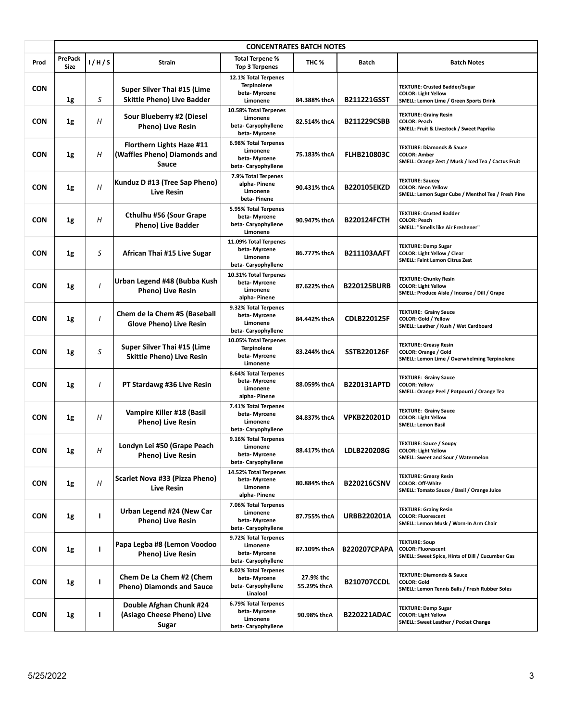|            | <b>CONCENTRATES BATCH NOTES</b> |                |                                                                    |                                                                         |                          |                     |                                                                                                                    |  |
|------------|---------------------------------|----------------|--------------------------------------------------------------------|-------------------------------------------------------------------------|--------------------------|---------------------|--------------------------------------------------------------------------------------------------------------------|--|
| Prod       | <b>PrePack</b><br><b>Size</b>   | 1/H/S          | <b>Strain</b>                                                      | Total Terpene %<br><b>Top 3 Terpenes</b>                                | THC <sub>%</sub>         | <b>Batch</b>        | <b>Batch Notes</b>                                                                                                 |  |
| <b>CON</b> | 1g                              | S              | Super Silver Thai #15 (Lime<br><b>Skittle Pheno) Live Badder</b>   | 12.1% Total Terpenes<br><b>Terpinolene</b><br>beta-Myrcene<br>Limonene  | 84.388% thcA             | <b>B211221GSST</b>  | <b>TEXTURE: Crusted Badder/Sugar</b><br><b>COLOR: Light Yellow</b><br>SMELL: Lemon Lime / Green Sports Drink       |  |
| <b>CON</b> | 1g                              | H              | Sour Blueberry #2 (Diesel<br>Pheno) Live Resin                     | 10.58% Total Terpenes<br>Limonene<br>beta-Caryophyllene<br>beta-Myrcene | 82.514% thcA             | <b>B211229CSBB</b>  | <b>TEXTURE: Grainy Resin</b><br><b>COLOR: Peach</b><br>SMELL: Fruit & Livestock / Sweet Paprika                    |  |
| <b>CON</b> | 1g                              | Η              | Florthern Lights Haze #11<br>(Waffles Pheno) Diamonds and<br>Sauce | 6.98% Total Terpenes<br>Limonene<br>beta-Myrcene<br>beta-Caryophyllene  | 75.183% thcA             | <b>FLHB210803C</b>  | <b>TEXTURE: Diamonds &amp; Sauce</b><br><b>COLOR: Amber</b><br>SMELL: Orange Zest / Musk / Iced Tea / Cactus Fruit |  |
| <b>CON</b> | 1g                              | H              | Kunduz D #13 (Tree Sap Pheno)<br><b>Live Resin</b>                 | 7.9% Total Terpenes<br>alpha-Pinene<br>Limonene<br>beta-Pinene          | 90.431% thcA             | <b>B220105EKZD</b>  | <b>TEXTURE: Saucey</b><br><b>COLOR: Neon Yellow</b><br>SMELL: Lemon Sugar Cube / Menthol Tea / Fresh Pine          |  |
| <b>CON</b> | 1g                              | H              | Cthulhu #56 (Sour Grape<br>Pheno) Live Badder                      | 5.95% Total Terpenes<br>beta-Myrcene<br>beta-Caryophyllene<br>Limonene  | 90.947% thcA             | <b>B220124FCTH</b>  | <b>TEXTURE: Crusted Badder</b><br><b>COLOR: Peach</b><br>SMELL: "Smells like Air Freshener"                        |  |
| <b>CON</b> | 1g                              | S              | African Thai #15 Live Sugar                                        | 11.09% Total Terpenes<br>beta-Myrcene<br>Limonene<br>beta-Caryophyllene | 86.777% thcA             | <b>B211103AAFT</b>  | <b>TEXTURE: Damp Sugar</b><br>COLOR: Light Yellow / Clear<br><b>SMELL: Faint Lemon Citrus Zest</b>                 |  |
| <b>CON</b> | 1g                              | $\overline{I}$ | Urban Legend #48 (Bubba Kush<br>Pheno) Live Resin                  | 10.31% Total Terpenes<br>beta-Myrcene<br>Limonene<br>alpha-Pinene       | 87.622% thcA             | <b>B220125BURB</b>  | <b>TEXTURE: Chunky Resin</b><br><b>COLOR: Light Yellow</b><br>SMELL: Produce Aisle / Incense / Dill / Grape        |  |
| <b>CON</b> | 1g                              | $\prime$       | Chem de la Chem #5 (Baseball<br><b>Glove Pheno) Live Resin</b>     | 9.32% Total Terpenes<br>beta-Myrcene<br>Limonene<br>beta-Caryophyllene  | 84.442% thcA             | <b>CDLB220125F</b>  | <b>TEXTURE: Grainy Sauce</b><br>COLOR: Gold / Yellow<br>SMELL: Leather / Kush / Wet Cardboard                      |  |
| <b>CON</b> | 1g                              | S              | Super Silver Thai #15 (Lime<br><b>Skittle Pheno) Live Resin</b>    | 10.05% Total Terpenes<br><b>Terpinolene</b><br>beta-Myrcene<br>Limonene | 83.244% thcA             | <b>SSTB220126F</b>  | <b>TEXTURE: Greasy Resin</b><br>COLOR: Orange / Gold<br>SMELL: Lemon Lime / Overwhelming Terpinolene               |  |
| <b>CON</b> | 1g                              |                | PT Stardawg #36 Live Resin                                         | 8.64% Total Terpenes<br>beta- Myrcene<br>Limonene<br>alpha-Pinene       | 88.059% thcA             | <b>B220131APTD</b>  | <b>TEXTURE: Grainy Sauce</b><br><b>COLOR: Yellow</b><br>SMELL: Orange Peel / Potpourri / Orange Tea                |  |
| <b>CON</b> | 1g                              | Η              | Vampire Killer #18 (Basil<br>Pheno) Live Resin                     | 7.41% Total Terpenes<br>beta-Myrcene<br>Limonene<br>beta-Caryophyllene  | 84.837% thcA             | <b>VPKB220201D</b>  | <b>TEXTURE: Grainy Sauce</b><br><b>COLOR: Light Yellow</b><br><b>SMELL: Lemon Basil</b>                            |  |
| <b>CON</b> | 1g                              | Η              | Londyn Lei #50 (Grape Peach<br><b>Pheno) Live Resin</b>            | 9.16% Total Terpenes<br>Limonene<br>beta- Myrcene<br>beta-Caryophyllene | 88.417% thcA             | LDLB220208G         | <b>TEXTURE: Sauce / Soupy</b><br><b>COLOR: Light Yellow</b><br>SMELL: Sweet and Sour / Watermelon                  |  |
| <b>CON</b> | 1g                              | Η              | Scarlet Nova #33 (Pizza Pheno)<br>Live Resin                       | 14.52% Total Terpenes<br>beta-Myrcene<br>Limonene<br>alpha- Pinene      | 80.884% thcA             | <b>B220216CSNV</b>  | <b>TEXTURE: Greasy Resin</b><br><b>COLOR: Off-White</b><br>SMELL: Tomato Sauce / Basil / Orange Juice              |  |
| <b>CON</b> | 1g                              | т              | Urban Legend #24 (New Car<br><b>Pheno) Live Resin</b>              | 7.06% Total Terpenes<br>Limonene<br>beta-Myrcene<br>beta-Caryophyllene  | 87.755% thcA             | <b>URBB220201A</b>  | <b>TEXTURE: Grainy Resin</b><br><b>COLOR: Fluorescent</b><br>SMELL: Lemon Musk / Worn-In Arm Chair                 |  |
| <b>CON</b> | 1g                              | L              | Papa Legba #8 (Lemon Voodoo<br>Pheno) Live Resin                   | 9.72% Total Terpenes<br>Limonene<br>beta-Myrcene<br>beta-Caryophyllene  | 87.109% thcA             | <b>B220207CPAPA</b> | <b>TEXTURE: Soup</b><br><b>COLOR: Fluorescent</b><br>SMELL: Sweet Spice, Hints of Dill / Cucumber Gas              |  |
| <b>CON</b> | 1g                              | т              | Chem De La Chem #2 (Chem<br><b>Pheno) Diamonds and Sauce</b>       | 8.02% Total Terpenes<br>beta-Myrcene<br>beta-Caryophyllene<br>Linalool  | 27.9% thc<br>55.29% thcA | <b>B210707CCDL</b>  | <b>TEXTURE: Diamonds &amp; Sauce</b><br><b>COLOR: Gold</b><br>SMELL: Lemon Tennis Balls / Fresh Rubber Soles       |  |
| <b>CON</b> | 1g                              | т              | Double Afghan Chunk #24<br>(Asiago Cheese Pheno) Live<br>Sugar     | 6.79% Total Terpenes<br>beta- Myrcene<br>Limonene<br>beta-Caryophyllene | 90.98% thcA              | B220221ADAC         | <b>TEXTURE: Damp Sugar</b><br><b>COLOR: Light Yellow</b><br>SMELL: Sweet Leather / Pocket Change                   |  |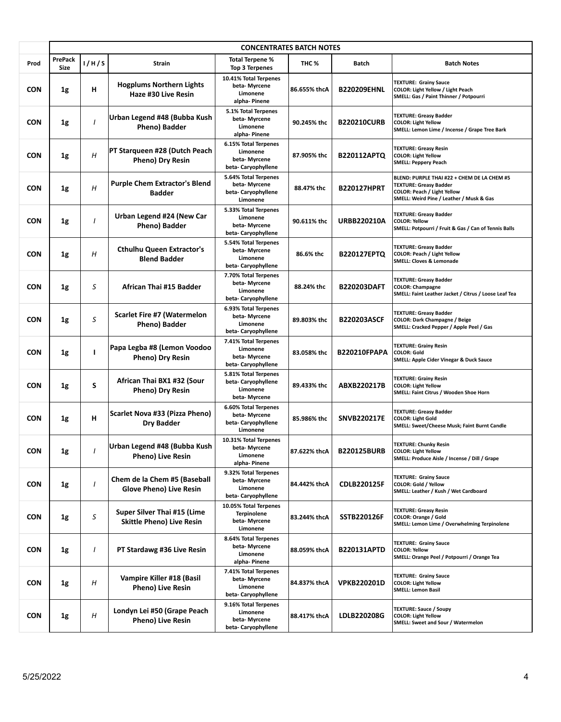|            | <b>CONCENTRATES BATCH NOTES</b> |       |                                                                 |                                                                          |              |                     |                                                                                                                                                                |  |
|------------|---------------------------------|-------|-----------------------------------------------------------------|--------------------------------------------------------------------------|--------------|---------------------|----------------------------------------------------------------------------------------------------------------------------------------------------------------|--|
| Prod       | <b>PrePack</b><br><b>Size</b>   | 1/H/S | Strain                                                          | Total Terpene %<br><b>Top 3 Terpenes</b>                                 | THC %        | <b>Batch</b>        | <b>Batch Notes</b>                                                                                                                                             |  |
| <b>CON</b> | 1g                              | н     | <b>Hogplums Northern Lights</b><br>Haze #30 Live Resin          | 10.41% Total Terpenes<br>beta- Myrcene<br>Limonene<br>alpha-Pinene       | 86.655% thcA | <b>B220209EHNL</b>  | <b>TEXTURE: Grainy Sauce</b><br>COLOR: Light Yellow / Light Peach<br>SMELL: Gas / Paint Thinner / Potpourri                                                    |  |
| <b>CON</b> | 1g                              |       | Urban Legend #48 (Bubba Kush<br>Pheno) Badder                   | 5.1% Total Terpenes<br>beta-Myrcene<br>Limonene<br>alpha- Pinene         | 90.245% thc  | <b>B220210CURB</b>  | <b>TEXTURE: Greasy Badder</b><br><b>COLOR: Light Yellow</b><br>SMELL: Lemon Lime / Incense / Grape Tree Bark                                                   |  |
| <b>CON</b> | 1g                              | H     | PT Starqueen #28 (Dutch Peach<br>Pheno) Dry Resin               | 6.15% Total Terpenes<br>Limonene<br>beta-Myrcene<br>beta-Caryophyllene   | 87.905% thc  | <b>B220112APTO</b>  | <b>TEXTURE: Greasy Resin</b><br><b>COLOR: Light Yellow</b><br><b>SMELL: Peppery Peach</b>                                                                      |  |
| <b>CON</b> | 1g                              | Н     | <b>Purple Chem Extractor's Blend</b><br><b>Badder</b>           | 5.64% Total Terpenes<br>beta-Myrcene<br>beta- Caryophyllene<br>Limonene  | 88.47% thc   | <b>B220127HPRT</b>  | BLEND: PURPLE THAI #22 + CHEM DE LA CHEM #5<br><b>TEXTURE: Greasy Badder</b><br><b>COLOR: Peach / Light Yellow</b><br>SMELL: Weird Pine / Leather / Musk & Gas |  |
| <b>CON</b> | 1g                              |       | Urban Legend #24 (New Car<br>Pheno) Badder                      | 5.33% Total Terpenes<br>Limonene<br>beta- Myrcene<br>beta-Caryophyllene  | 90.611% thc  | <b>URBB220210A</b>  | <b>TEXTURE: Greasy Badder</b><br><b>COLOR: Yellow</b><br>SMELL: Potpourri / Fruit & Gas / Can of Tennis Balls                                                  |  |
| <b>CON</b> | 1g                              | Η     | <b>Cthulhu Queen Extractor's</b><br><b>Blend Badder</b>         | 5.54% Total Terpenes<br>beta-Myrcene<br>Limonene<br>beta- Caryophyllene  | 86.6% thc    | <b>B220127EPTQ</b>  | <b>TEXTURE: Greasy Badder</b><br><b>COLOR: Peach / Light Yellow</b><br><b>SMELL: Cloves &amp; Lemonade</b>                                                     |  |
| <b>CON</b> | 1g                              | S     | African Thai #15 Badder                                         | 7.70% Total Terpenes<br>beta-Myrcene<br>Limonene<br>beta- Caryophyllene  | 88.24% thc   | <b>B220203DAFT</b>  | <b>TEXTURE: Greasy Badder</b><br><b>COLOR: Champagne</b><br>SMELL: Faint Leather Jacket / Citrus / Loose Leaf Tea                                              |  |
| <b>CON</b> | 1g                              | S     | <b>Scarlet Fire #7 (Watermelon</b><br>Pheno) Badder             | 6.93% Total Terpenes<br>beta- Myrcene<br>Limonene<br>beta-Caryophyllene  | 89.803% thc  | <b>B220203ASCF</b>  | <b>TEXTURE: Greasy Badder</b><br>COLOR: Dark Champagne / Beige<br>SMELL: Cracked Pepper / Apple Peel / Gas                                                     |  |
| CON        | 1g                              | т     | Papa Legba #8 (Lemon Voodoo<br>Pheno) Dry Resin                 | 7.41% Total Terpenes<br>Limonene<br>beta-Myrcene<br>beta-Caryophyllene   | 83.058% thc  | <b>B220210FPAPA</b> | <b>TEXTURE: Grainy Resin</b><br><b>COLOR: Gold</b><br>SMELL: Apple Cider Vinegar & Duck Sauce                                                                  |  |
| <b>CON</b> | 1g                              | S     | African Thai BX1 #32 (Sour<br>Pheno) Dry Resin                  | 5.81% Total Terpenes<br>beta- Caryophyllene<br>Limonene<br>beta- Myrcene | 89.433% thc  | ABXB220217B         | <b>TEXTURE: Grainy Resin</b><br><b>COLOR: Light Yellow</b><br>SMELL: Faint Citrus / Wooden Shoe Horn                                                           |  |
| CON        | 1g                              | н     | <b>Scarlet Nova #33 (Pizza Pheno)</b><br>Dry Badder             | 6.60% Total Terpenes<br>beta-Myrcene<br>beta-Caryophyllene<br>Limonene   | 85.986% thc  | <b>SNVB220217E</b>  | <b>TEXTURE: Greasy Badder</b><br><b>COLOR: Light Gold</b><br>SMELL: Sweet/Cheese Musk; Faint Burnt Candle                                                      |  |
| <b>CON</b> | 1g                              |       | Urban Legend #48 (Bubba Kush<br><b>Pheno) Live Resin</b>        | 10.31% Total Terpenes<br>beta-Myrcene<br>Limonene<br>alpha- Pinene       | 87.622% thcA | <b>B220125BURB</b>  | <b>TEXTURE: Chunky Resin</b><br><b>COLOR: Light Yellow</b><br>SMELL: Produce Aisle / Incense / Dill / Grape                                                    |  |
| <b>CON</b> | 1g                              |       | Chem de la Chem #5 (Baseball<br><b>Glove Pheno) Live Resin</b>  | 9.32% Total Terpenes<br>beta- Myrcene<br>Limonene<br>beta- Caryophyllene | 84.442% thcA | <b>CDLB220125F</b>  | <b>TEXTURE: Grainy Sauce</b><br>COLOR: Gold / Yellow<br>SMELL: Leather / Kush / Wet Cardboard                                                                  |  |
| CON        | 1g                              | S     | Super Silver Thai #15 (Lime<br><b>Skittle Pheno) Live Resin</b> | 10.05% Total Terpenes<br><b>Terpinolene</b><br>beta-Myrcene<br>Limonene  | 83.244% thcA | <b>SSTB220126F</b>  | <b>TEXTURE: Greasy Resin</b><br>COLOR: Orange / Gold<br>SMELL: Lemon Lime / Overwhelming Terpinolene                                                           |  |
| <b>CON</b> | 1g                              |       | PT Stardawg #36 Live Resin                                      | 8.64% Total Terpenes<br>beta-Myrcene<br>Limonene<br>alpha- Pinene        | 88.059% thcA | <b>B220131APTD</b>  | <b>TEXTURE: Grainy Sauce</b><br><b>COLOR: Yellow</b><br>SMELL: Orange Peel / Potpourri / Orange Tea                                                            |  |
| CON        | 1g                              | Η     | Vampire Killer #18 (Basil<br><b>Pheno) Live Resin</b>           | 7.41% Total Terpenes<br>beta- Myrcene<br>Limonene<br>beta-Caryophyllene  | 84.837% thcA | <b>VPKB220201D</b>  | <b>TEXTURE: Grainy Sauce</b><br><b>COLOR: Light Yellow</b><br><b>SMELL: Lemon Basil</b>                                                                        |  |
| <b>CON</b> | 1g                              | H     | Londyn Lei #50 (Grape Peach<br><b>Pheno) Live Resin</b>         | 9.16% Total Terpenes<br>Limonene<br>beta- Myrcene<br>beta- Caryophyllene | 88.417% thcA | LDLB220208G         | <b>TEXTURE: Sauce / Soupy</b><br><b>COLOR: Light Yellow</b><br>SMELL: Sweet and Sour / Watermelon                                                              |  |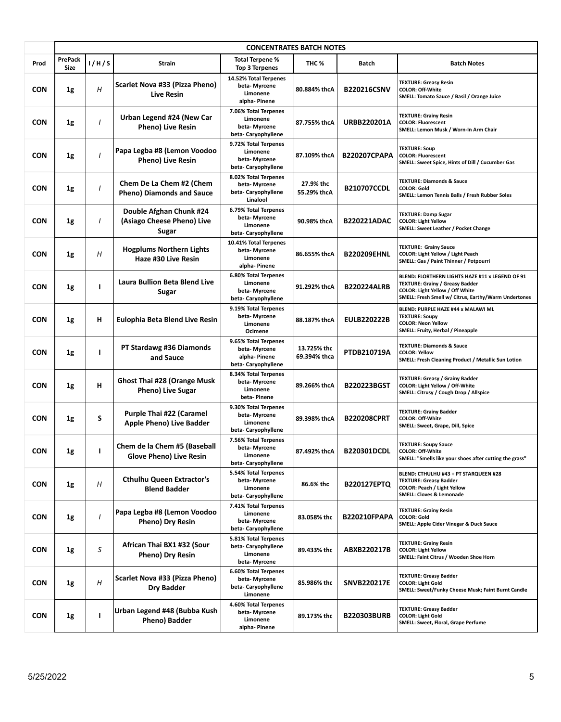|            | <b>CONCENTRATES BATCH NOTES</b> |              |                                                                |                                                                             |                             |                     |                                                                                                                                                                                      |  |
|------------|---------------------------------|--------------|----------------------------------------------------------------|-----------------------------------------------------------------------------|-----------------------------|---------------------|--------------------------------------------------------------------------------------------------------------------------------------------------------------------------------------|--|
| Prod       | <b>PrePack</b><br>Size          | 1/H/S        | Strain                                                         | Total Terpene %<br><b>Top 3 Terpenes</b>                                    | THC %                       | <b>Batch</b>        | <b>Batch Notes</b>                                                                                                                                                                   |  |
| <b>CON</b> | 1g                              | Н            | Scarlet Nova #33 (Pizza Pheno)<br><b>Live Resin</b>            | 14.52% Total Terpenes<br>beta-Myrcene<br>Limonene<br>alpha-Pinene           | 80.884% thcA                | <b>B220216CSNV</b>  | <b>TEXTURE: Greasy Resin</b><br><b>COLOR: Off-White</b><br>SMELL: Tomato Sauce / Basil / Orange Juice                                                                                |  |
| <b>CON</b> | 1g                              |              | Urban Legend #24 (New Car<br>Pheno) Live Resin                 | 7.06% Total Terpenes<br>Limonene<br>beta-Myrcene<br>beta-Caryophyllene      | 87.755% thcA                | <b>URBB220201A</b>  | <b>TEXTURE: Grainy Resin</b><br><b>COLOR: Fluorescent</b><br>SMELL: Lemon Musk / Worn-In Arm Chair                                                                                   |  |
| <b>CON</b> | 1g                              |              | Papa Legba #8 (Lemon Voodoo<br><b>Pheno) Live Resin</b>        | 9.72% Total Terpenes<br>Limonene<br>beta-Myrcene<br>beta-Caryophyllene      | 87.109% thcA                | <b>B220207CPAPA</b> | <b>TEXTURE: Soup</b><br><b>COLOR: Fluorescent</b><br>SMELL: Sweet Spice, Hints of Dill / Cucumber Gas                                                                                |  |
| <b>CON</b> | 1g                              | I            | Chem De La Chem #2 (Chem<br><b>Pheno) Diamonds and Sauce</b>   | 8.02% Total Terpenes<br>beta-Myrcene<br>beta-Caryophyllene<br>Linalool      | 27.9% thc<br>55.29% thcA    | <b>B210707CCDL</b>  | <b>TEXTURE: Diamonds &amp; Sauce</b><br><b>COLOR: Gold</b><br>SMELL: Lemon Tennis Balls / Fresh Rubber Soles                                                                         |  |
| <b>CON</b> | 1g                              |              | Double Afghan Chunk #24<br>(Asiago Cheese Pheno) Live<br>Sugar | 6.79% Total Terpenes<br>beta-Myrcene<br>Limonene<br>beta- Caryophyllene     | 90.98% thcA                 | <b>B220221ADAC</b>  | <b>TEXTURE: Damp Sugar</b><br><b>COLOR: Light Yellow</b><br>SMELL: Sweet Leather / Pocket Change                                                                                     |  |
| <b>CON</b> | 1g                              | Н            | <b>Hogplums Northern Lights</b><br>Haze #30 Live Resin         | 10.41% Total Terpenes<br>beta-Myrcene<br>Limonene<br>alpha-Pinene           | 86.655% thcA                | <b>B220209EHNL</b>  | <b>TEXTURE: Grainy Sauce</b><br>COLOR: Light Yellow / Light Peach<br>SMELL: Gas / Paint Thinner / Potpourri                                                                          |  |
| <b>CON</b> | 1g                              | $\mathbf{I}$ | Laura Bullion Beta Blend Live<br>Sugar                         | 6.80% Total Terpenes<br>Limonene<br>beta-Myrcene<br>beta-Caryophyllene      | 91.292% thcA                | <b>B220224ALRB</b>  | BLEND: FLORTHERN LIGHTS HAZE #11 x LEGEND OF 91<br><b>TEXTURE: Grainy / Greasy Badder</b><br>COLOR: Light Yellow / Off White<br>SMELL: Fresh Smell w/ Citrus, Earthy/Warm Undertones |  |
| <b>CON</b> | 1g                              | н            | Eulophia Beta Blend Live Resin                                 | 9.19% Total Terpenes<br>beta-Myrcene<br>Limonene<br>Ocimene                 | 88.187% thcA                | <b>EULB220222B</b>  | BLEND: PURPLE HAZE #44 x MALAWI ML<br><b>TEXTURE: Soupy</b><br><b>COLOR: Neon Yellow</b><br>SMELL: Fruity, Herbal / Pineapple                                                        |  |
| <b>CON</b> | 1g                              | ı            | PT Stardawg #36 Diamonds<br>and Sauce                          | 9.65% Total Terpenes<br>beta- Myrcene<br>alpha-Pinene<br>beta-Caryophyllene | 13.725% thc<br>69.394% thca | PTDB210719A         | <b>TEXTURE: Diamonds &amp; Sauce</b><br><b>COLOR: Yellow</b><br>SMELL: Fresh Cleaning Product / Metallic Sun Lotion                                                                  |  |
| <b>CON</b> | 1g                              | н            | <b>Ghost Thai #28 (Orange Musk</b><br>Pheno) Live Sugar        | 8.34% Total Terpenes<br>beta-Myrcene<br>Limonene<br>beta-Pinene             | 89.266% thcA                | <b>B220223BGST</b>  | <b>TEXTURE: Greasy / Grainy Badder</b><br>COLOR: Light Yellow / Off-White<br>SMELL: Citrusy / Cough Drop / Allspice                                                                  |  |
| <b>CON</b> | 1g                              | S            | Purple Thai #22 (Caramel<br>Apple Pheno) Live Badder           | 9.30% Total Terpenes<br>beta- Myrcene<br>Limonene<br>beta-Caryophyllene     | 89.398% thcA                | <b>B220208CPRT</b>  | <b>TEXTURE: Grainy Badder</b><br><b>COLOR: Off-White</b><br>SMELL: Sweet, Grape, Dill, Spice                                                                                         |  |
| <b>CON</b> | 1g                              | т            | Chem de la Chem #5 (Baseball<br><b>Glove Pheno) Live Resin</b> | 7.56% Total Terpenes<br>beta-Myrcene<br>Limonene<br>beta- Caryophyllene     | 87.492% thcA                | <b>B220301DCDL</b>  | <b>TEXTURE: Soupy Sauce</b><br><b>COLOR: Off-White</b><br>SMELL: "Smells like your shoes after cutting the grass"                                                                    |  |
| <b>CON</b> | 1g                              | H            | <b>Cthulhu Queen Extractor's</b><br><b>Blend Badder</b>        | 5.54% Total Terpenes<br>beta- Myrcene<br>Limonene<br>beta- Caryophyllene    | 86.6% thc                   | <b>B220127EPTQ</b>  | BLEND: CTHULHU #43 + PT STARQUEEN #28<br><b>TEXTURE: Greasy Badder</b><br><b>COLOR: Peach / Light Yellow</b><br>SMELL: Cloves & Lemonade                                             |  |
| <b>CON</b> | 1g                              | I            | Papa Legba #8 (Lemon Voodoo<br>Pheno) Dry Resin                | 7.41% Total Terpenes<br>Limonene<br>beta-Myrcene<br>beta- Caryophyllene     | 83.058% thc                 | <b>B220210FPAPA</b> | <b>TEXTURE: Grainy Resin</b><br><b>COLOR: Gold</b><br>SMELL: Apple Cider Vinegar & Duck Sauce                                                                                        |  |
| <b>CON</b> | 1g                              | S            | African Thai BX1 #32 (Sour<br>Pheno) Dry Resin                 | 5.81% Total Terpenes<br>beta-Caryophyllene<br>Limonene<br>beta- Myrcene     | 89.433% thc                 | ABXB220217B         | <b>TEXTURE: Grainy Resin</b><br><b>COLOR: Light Yellow</b><br>SMELL: Faint Citrus / Wooden Shoe Horn                                                                                 |  |
| <b>CON</b> | 1g                              | Η            | Scarlet Nova #33 (Pizza Pheno)<br><b>Dry Badder</b>            | 6.60% Total Terpenes<br>beta- Myrcene<br>beta-Caryophyllene<br>Limonene     | 85.986% thc                 | <b>SNVB220217E</b>  | <b>TEXTURE: Greasy Badder</b><br><b>COLOR: Light Gold</b><br>SMELL: Sweet/Funky Cheese Musk; Faint Burnt Candle                                                                      |  |
| <b>CON</b> | $1\mathrm{g}$                   | ı            | Urban Legend #48 (Bubba Kush<br>Pheno) Badder                  | 4.60% Total Terpenes<br>beta- Myrcene<br>Limonene<br>alpha- Pinene          | 89.173% thc                 | <b>B220303BURB</b>  | <b>TEXTURE: Greasy Badder</b><br><b>COLOR: Light Gold</b><br>SMELL: Sweet, Floral, Grape Perfume                                                                                     |  |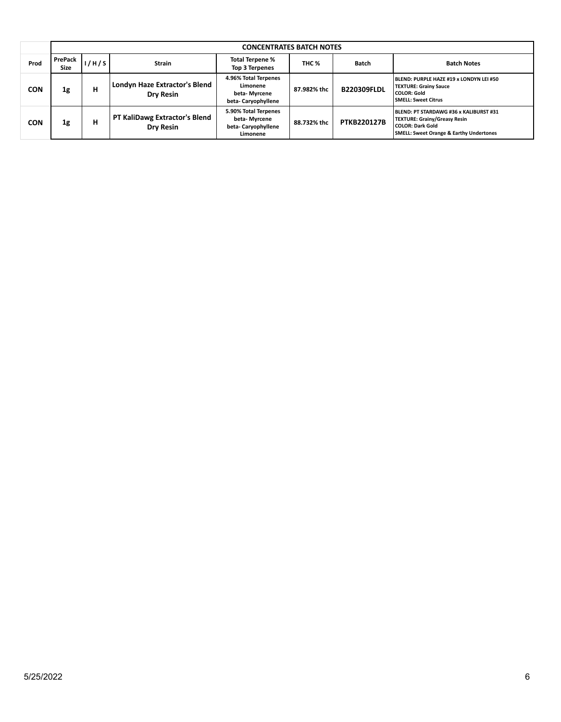|            |                        | <b>CONCENTRATES BATCH NOTES</b> |                                                   |                                                                         |             |                    |                                                                                                                                                           |  |  |
|------------|------------------------|---------------------------------|---------------------------------------------------|-------------------------------------------------------------------------|-------------|--------------------|-----------------------------------------------------------------------------------------------------------------------------------------------------------|--|--|
| Prod       | PrePack<br><b>Size</b> | 1/H/S                           | <b>Strain</b>                                     | Total Terpene %<br><b>Top 3 Terpenes</b>                                | THC %       | <b>Batch</b>       | <b>Batch Notes</b>                                                                                                                                        |  |  |
| <b>CON</b> | 1g                     | н                               | Londyn Haze Extractor's Blend<br>Drv Resin        | 4.96% Total Terpenes<br>Limonene<br>beta-Myrcene<br>beta-Caryophyllene  | 87.982% thc | <b>B220309FLDL</b> | <b>BLEND: PURPLE HAZE #19 x LONDYN LEI #50</b><br><b>TEXTURE: Grainy Sauce</b><br><b>COLOR: Gold</b><br><b>SMELL: Sweet Citrus</b>                        |  |  |
| <b>CON</b> | 1g                     | н                               | PT KaliDawg Extractor's Blend<br><b>Dry Resin</b> | 5.90% Total Terpenes<br>beta- Myrcene<br>beta-Caryophyllene<br>Limonene | 88.732% thc | <b>PTKB220127B</b> | BLEND: PT STARDAWG #36 x KALIBURST #31<br><b>TEXTURE: Grainy/Greasy Resin</b><br>  COLOR: Dark Gold<br><b>SMELL: Sweet Orange &amp; Earthy Undertones</b> |  |  |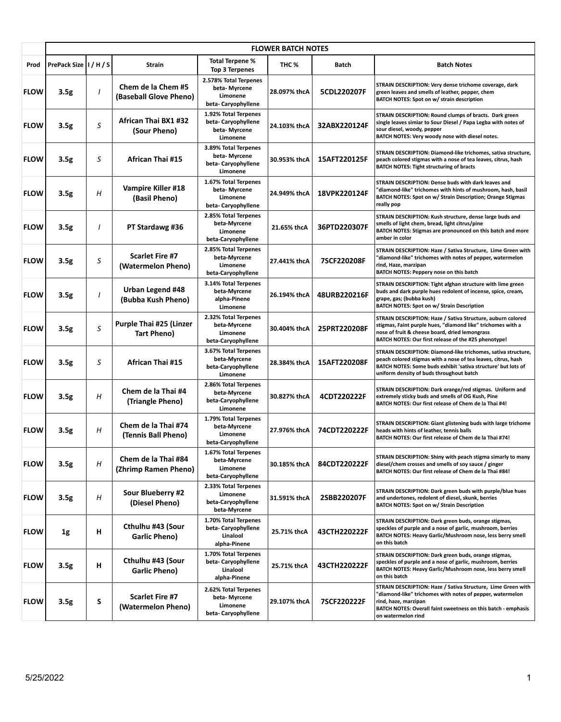|             | <b>FLOWER BATCH NOTES</b> |          |                                               |                                                                         |                  |              |                                                                                                                                                                                                                                             |  |
|-------------|---------------------------|----------|-----------------------------------------------|-------------------------------------------------------------------------|------------------|--------------|---------------------------------------------------------------------------------------------------------------------------------------------------------------------------------------------------------------------------------------------|--|
| Prod        | PrePack Size II / H / S   |          | Strain                                        | <b>Total Terpene %</b><br>Top 3 Terpenes                                | THC <sub>%</sub> | Batch        | <b>Batch Notes</b>                                                                                                                                                                                                                          |  |
| <b>FLOW</b> | 3.5g                      | $\prime$ | Chem de la Chem #5<br>(Baseball Glove Pheno)  | 2.578% Total Terpenes<br>beta-Myrcene<br>Limonene<br>beta-Caryophyllene | 28.097% thcA     | 5CDL220207F  | STRAIN DESCRIPTION: Very dense trichome coverage, dark<br>green leaves and smells of leather, pepper, chem<br>BATCH NOTES: Spot on w/ strain description                                                                                    |  |
| <b>FLOW</b> | 3.5g                      | S        | African Thai BX1 #32<br>(Sour Pheno)          | 1.92% Total Terpenes<br>beta-Caryophyllene<br>beta-Myrcene<br>Limonene  | 24.103% thcA     | 32ABX220124F | STRAIN DESCRIPTION: Round clumps of bracts. Dark green<br>single leaves simiar to Sour Diesel / Papa Legba with notes of<br>sour diesel, woody, pepper<br>BATCH NOTES: Very woody nose with diesel notes.                                   |  |
| <b>FLOW</b> | 3.5g                      | S        | African Thai #15                              | 3.89% Total Terpenes<br>beta- Myrcene<br>beta-Caryophyllene<br>Limonene | 30.953% thcA     | 15AFT220125F | STRAIN DESCRIPTION: Diamond-like trichomes, sativa structure,<br>peach colored stigmas with a nose of tea leaves, citrus, hash<br><b>BATCH NOTES: Tight structuring of bracts</b>                                                           |  |
| <b>FLOW</b> | 3.5g                      | H        | Vampire Killer #18<br>(Basil Pheno)           | 1.67% Total Terpenes<br>beta- Myrcene<br>Limonene<br>beta-Caryophyllene | 24.949% thcA     | 18VPK220124F | STRAIN DESCRIPTION: Dense buds with dark leaves and<br>"diamond-like" trichomes with hints of mushroom, hash, basil<br>BATCH NOTES: Spot on w/ Strain Description; Orange Stigmas<br>really pop                                             |  |
| <b>FLOW</b> | 3.5g                      | $\prime$ | PT Stardawg #36                               | 2.85% Total Terpenes<br>beta-Myrcene<br>Limonene<br>beta-Caryophyllene  | 21.65% thcA      | 36PTD220307F | STRAIN DESCRIPTION: Kush structure, dense large buds and<br>smells of light chem, bread, light citrus/pine<br>BATCH NOTES: Stigmas are pronounced on this batch and more<br>amber in color                                                  |  |
| <b>FLOW</b> | 3.5g                      | S        | <b>Scarlet Fire #7</b><br>(Watermelon Pheno)  | 2.85% Total Terpenes<br>beta-Myrcene<br>Limonene<br>beta-Caryophyllene  | 27.441% thcA     | 7SCF220208F  | STRAIN DESCRIPTION: Haze / Sativa Structure, Lime Green with<br>"diamond-like" trichomes with notes of pepper, watermelon<br>rind, Haze, marzipan<br>BATCH NOTES: Peppery nose on this batch                                                |  |
| <b>FLOW</b> | 3.5g                      | $\prime$ | Urban Legend #48<br>(Bubba Kush Pheno)        | 3.14% Total Terpenes<br>beta-Myrcene<br>alpha-Pinene<br>Limonene        | 26.194% thcA     | 48URB220216F | STRAIN DESCRIPTION: Tight afghan structure with lime green<br>buds and dark purple hues redolent of incense, spice, cream,<br>grape, gas; (bubba kush)<br><b>BATCH NOTES: Spot on w/ Strain Description</b>                                 |  |
| <b>FLOW</b> | 3.5g                      | S        | <b>Purple Thai #25 (Linzer</b><br>Tart Pheno) | 2.32% Total Terpenes<br>beta-Myrcene<br>Limonene<br>beta-Caryophyllene  | 30.404% thcA     | 25PRT220208F | STRAIN DESCRIPTION: Haze / Sativa Structure, auburn colored<br>stigmas, Faint purple hues, "diamond like" trichomes with a<br>nose of fruit & cheese board, dried lemongrass<br>BATCH NOTES: Our first release of the #25 phenotype!        |  |
| <b>FLOW</b> | 3.5g                      | S        | <b>African Thai #15</b>                       | 3.67% Total Terpenes<br>beta-Myrcene<br>beta-Caryophyllene<br>Limonene  | 28.384% thcA     | 15AFT220208F | STRAIN DESCRIPTION: Diamond-like trichomes, sativa structure,<br>peach colored stigmas with a nose of tea leaves, citrus, hash<br>BATCH NOTES: Some buds exhibit 'sativa structure' but lots of<br>uniform density of buds throughout batch |  |
| <b>FLOW</b> | 3.5g                      | Η        | Chem de la Thai #4<br>(Triangle Pheno)        | 2.86% Total Terpenes<br>beta-Myrcene<br>beta-Caryophyllene<br>Limonene  | 30.827% thcA     | 4CDT220222F  | STRAIN DESCRIPTION: Dark orange/red stigmas. Uniform and<br>extremely sticky buds and smells of OG Kush, Pine<br>BATCH NOTES: Our first release of Chem de la Thai #4!                                                                      |  |
| <b>FLOW</b> | 3.5g                      | H        | Chem de la Thai #74<br>(Tennis Ball Pheno)    | 1.79% Total Terpenes<br>beta-Myrcene<br>Limonene<br>beta-Caryophyllene  | 27.976% thcA     | 74CDT220222F | STRAIN DESCRIPTION: Giant glistening buds with large trichome<br>heads with hints of leather, tennis balls<br>BATCH NOTES: Our first release of Chem de la Thai #74!                                                                        |  |
| <b>FLOW</b> | 3.5g                      | H        | Chem de la Thai #84<br>(Zhrimp Ramen Pheno)   | 1.67% Total Terpenes<br>beta-Myrcene<br>Limonene<br>beta-Caryophyllene  | 30.185% thcA     | 84CDT220222F | STRAIN DESCRIPTION: Shiny with peach stigma simarly to many<br>diesel/chem crosses and smells of soy sauce / ginger<br>BATCH NOTES: Our first release of Chem de la Thai #84!                                                               |  |
| <b>FLOW</b> | 3.5 <sub>g</sub>          | H        | Sour Blueberry #2<br>(Diesel Pheno)           | 2.33% Total Terpenes<br>Limonene<br>beta-Caryophyllene<br>beta-Myrcene  | 31.591% thcA     | 2SBB220207F  | STRAIN DESCRIPTION: Dark green buds with purple/blue hues<br>and undertones, redolent of diesel, skunk, berries<br><b>BATCH NOTES: Spot on w/ Strain Description</b>                                                                        |  |
| <b>FLOW</b> | 1g                        | н        | Cthulhu #43 (Sour<br>Garlic Pheno)            | 1.70% Total Terpenes<br>beta-Caryophyllene<br>Linalool<br>alpha-Pinene  | 25.71% thcA      | 43CTH220222F | STRAIN DESCRIPTION: Dark green buds, orange stigmas,<br>speckles of purple and a nose of garlic, mushroom, berries<br>BATCH NOTES: Heavy Garlic/Mushroom nose, less berry smell<br>on this batch                                            |  |
| <b>FLOW</b> | 3.5g                      | н        | Cthulhu #43 (Sour<br>Garlic Pheno)            | 1.70% Total Terpenes<br>beta-Caryophyllene<br>Linalool<br>alpha-Pinene  | 25.71% thcA      | 43CTH220222F | STRAIN DESCRIPTION: Dark green buds, orange stigmas,<br>speckles of purple and a nose of garlic, mushroom, berries<br>BATCH NOTES: Heavy Garlic/Mushroom nose, less berry smell<br>on this batch                                            |  |
| <b>FLOW</b> | 3.5g                      | S        | <b>Scarlet Fire #7</b><br>(Watermelon Pheno)  | 2.62% Total Terpenes<br>beta-Myrcene<br>Limonene<br>beta-Caryophyllene  | 29.107% thcA     | 7SCF220222F  | STRAIN DESCRIPTION: Haze / Sativa Structure, Lime Green with<br>"diamond-like" trichomes with notes of pepper, watermelon<br>rind, haze, marzipan<br>BATCH NOTES: Overall faint sweetness on this batch - emphasis<br>on watermelon rind    |  |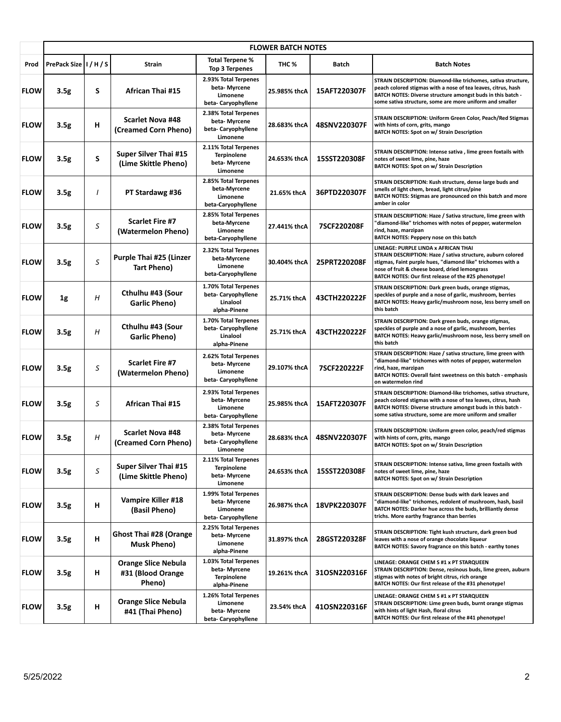|             | <b>FLOWER BATCH NOTES</b> |   |                                                           |                                                                             |              |              |                                                                                                                                                                                                                                                                              |  |
|-------------|---------------------------|---|-----------------------------------------------------------|-----------------------------------------------------------------------------|--------------|--------------|------------------------------------------------------------------------------------------------------------------------------------------------------------------------------------------------------------------------------------------------------------------------------|--|
| Prod        | PrePack Size II / H / S   |   | Strain                                                    | Total Terpene %<br>Top 3 Terpenes                                           | THC %        | Batch        | <b>Batch Notes</b>                                                                                                                                                                                                                                                           |  |
| <b>FLOW</b> | 3.5g                      | S | African Thai #15                                          | 2.93% Total Terpenes<br>beta- Myrcene<br>Limonene<br>beta-Caryophyllene     | 25.985% thcA | 15AFT220307F | STRAIN DESCRIPTION: Diamond-like trichomes, sativa structure,<br>peach colored stigmas with a nose of tea leaves, citrus, hash<br>BATCH NOTES: Diverse structure amongst buds in this batch -<br>some sativa structure, some are more uniform and smaller                    |  |
| <b>FLOW</b> | 3.5 <sub>g</sub>          | н | <b>Scarlet Nova #48</b><br>(Creamed Corn Pheno)           | 2.38% Total Terpenes<br>beta- Myrcene<br>beta-Caryophyllene<br>Limonene     | 28.683% thcA | 48SNV220307F | STRAIN DESCRIPTION: Uniform Green Color, Peach/Red Stigmas<br>with hints of corn, grits, mango<br>BATCH NOTES: Spot on w/ Strain Description                                                                                                                                 |  |
| <b>FLOW</b> | 3.5g                      | S | <b>Super Silver Thai #15</b><br>(Lime Skittle Pheno)      | 2.11% Total Terpenes<br><b>Terpinolene</b><br>beta- Myrcene<br>Limonene     | 24.653% thcA | 15SST220308F | STRAIN DESCRIPTION: Intense sativa, lime green foxtails with<br>notes of sweet lime, pine, haze<br>BATCH NOTES: Spot on w/ Strain Description                                                                                                                                |  |
| <b>FLOW</b> | 3.5 <sub>g</sub>          | I | PT Stardawg #36                                           | 2.85% Total Terpenes<br>beta-Myrcene<br>Limonene<br>beta-Caryophyllene      | 21.65% thcA  | 36PTD220307F | STRAIN DESCRIPTION: Kush structure, dense large buds and<br>smells of light chem, bread, light citrus/pine<br>BATCH NOTES: Stigmas are pronounced on this batch and more<br>amber in color                                                                                   |  |
| <b>FLOW</b> | 3.5 <sub>g</sub>          | S | <b>Scarlet Fire #7</b><br>(Watermelon Pheno)              | 2.85% Total Terpenes<br>beta-Myrcene<br>Limonene<br>beta-Caryophyllene      | 27.441% thcA | 7SCF220208F  | STRAIN DESCRIPTION: Haze / Sativa structure, lime green with<br>'diamond-like" trichomes with notes of pepper, watermelon<br>rind, haze, marzipan<br>BATCH NOTES: Peppery nose on this batch                                                                                 |  |
| <b>FLOW</b> | 3.5g                      | S | <b>Purple Thai #25 (Linzer</b><br>Tart Pheno)             | 2.32% Total Terpenes<br>beta-Myrcene<br>Limonene<br>beta-Caryophyllene      | 30.404% thcA | 25PRT220208F | LINEAGE: PURPLE LINDA x AFRICAN THAI<br>STRAIN DESCRIPTION: Haze / sativa structure, auburn colored<br>stigmas, Faint purple hues, "diamond like" trichomes with a<br>nose of fruit & cheese board, dried lemongrass<br>BATCH NOTES: Our first release of the #25 phenotype! |  |
| <b>FLOW</b> | 1g                        | Н | Cthulhu #43 (Sour<br><b>Garlic Pheno)</b>                 | 1.70% Total Terpenes<br>beta-Caryophyllene<br>Linalool<br>alpha-Pinene      | 25.71% thcA  | 43CTH220222F | STRAIN DESCRIPTION: Dark green buds, orange stigmas,<br>speckles of purple and a nose of garlic, mushroom, berries<br>BATCH NOTES: Heavy garlic/mushroom nose, less berry smell on<br>this batch                                                                             |  |
| <b>FLOW</b> | 3.5g                      | Η | Cthulhu #43 (Sour<br>Garlic Pheno)                        | 1.70% Total Terpenes<br>beta-Caryophyllene<br>Linalool<br>alpha-Pinene      | 25.71% thcA  | 43CTH220222F | STRAIN DESCRIPTION: Dark green buds, orange stigmas,<br>speckles of purple and a nose of garlic, mushroom, berries<br>BATCH NOTES: Heavy garlic/mushroom nose, less berry smell on<br>this batch                                                                             |  |
| <b>FLOW</b> | 3.5 <sub>g</sub>          | S | <b>Scarlet Fire #7</b><br>(Watermelon Pheno)              | 2.62% Total Terpenes<br>beta- Myrcene<br>Limonene<br>beta-Caryophyllene     | 29.107% thcA | 7SCF220222F  | STRAIN DESCRIPTION: Haze / sativa structure, lime green with<br>'diamond-like" trichomes with notes of pepper, watermelon<br>rind, haze, marzipan<br>BATCH NOTES: Overall faint sweetness on this batch - emphasis<br>on watermelon rind                                     |  |
| <b>FLOW</b> | 3.5 <sub>g</sub>          | S | African Thai #15                                          | 2.93% Total Terpenes<br>beta- Myrcene<br>Limonene<br>beta-Caryophyllene     | 25.985% thcA | 15AFT220307F | STRAIN DESCRIPTION: Diamond-like trichomes, sativa structure,<br>peach colored stigmas with a nose of tea leaves, citrus, hash<br>BATCH NOTES: Diverse structure amongst buds in this batch -<br>some sativa structure, some are more uniform and smaller                    |  |
| <b>FLOW</b> | 3.5g                      | Н | <b>Scarlet Nova #48</b><br>(Creamed Corn Pheno)           | 2.38% Total Terpenes<br>beta- Myrcene<br>beta-Caryophyllene<br>Limonene     | 28.683% thcA | 48SNV220307F | STRAIN DESCRIPTION: Uniform green color, peach/red stigmas<br>with hints of corn, grits, mango<br><b>BATCH NOTES: Spot on w/ Strain Description</b>                                                                                                                          |  |
| <b>FLOW</b> | 3.5g                      | S | <b>Super Silver Thai #15</b><br>(Lime Skittle Pheno)      | 2.11% Total Terpenes<br><b>Terpinolene</b><br>beta-Myrcene<br>Limonene      | 24.653% thcA | 15SST220308F | STRAIN DESCRIPTION: Intense sativa, lime green foxtails with<br>notes of sweet lime, pine, haze<br>BATCH NOTES: Spot on w/ Strain Description                                                                                                                                |  |
| <b>FLOW</b> | 3.5 <sub>g</sub>          | н | Vampire Killer #18<br>(Basil Pheno)                       | 1.99% Total Terpenes<br>beta- Myrcene<br>Limonene<br>beta-Caryophyllene     | 26.987% thcA | 18VPK220307F | STRAIN DESCRIPTION: Dense buds with dark leaves and<br>"diamond-like" trichomes, redolent of mushroom, hash, basil<br>BATCH NOTES: Darker hue across the buds, brilliantly dense<br>trichs. More earthy fragrance than berries                                               |  |
| <b>FLOW</b> | 3.5g                      | н | <b>Ghost Thai #28 (Orange</b><br><b>Musk Pheno)</b>       | 2.25% Total Terpenes<br>beta- Myrcene<br>Limonene<br>alpha-Pinene           | 31.897% thcA | 28GST220328F | STRAIN DESCRIPTION: Tight kush structure, dark green bud<br>leaves with a nose of orange chocolate liqueur<br>BATCH NOTES: Savory fragrance on this batch - earthy tones                                                                                                     |  |
| <b>FLOW</b> | 3.5g                      | н | <b>Orange Slice Nebula</b><br>#31 (Blood Orange<br>Pheno) | 1.03% Total Terpenes<br>beta- Myrcene<br><b>Terpinolene</b><br>alpha-Pinene | 19.261% thcA | 31OSN220316F | LINEAGE: ORANGE CHEM S #1 x PT STARQUEEN<br>STRAIN DESCRIPTION: Dense, resinous buds, lime green, auburn<br>stigmas with notes of bright citrus, rich orange<br>BATCH NOTES: Our first release of the #31 phenotype!                                                         |  |
| <b>FLOW</b> | 3.5g                      | н | <b>Orange Slice Nebula</b><br>#41 (Thai Pheno)            | 1.26% Total Terpenes<br>Limonene<br>beta- Myrcene<br>beta-Caryophyllene     | 23.54% thcA  | 41OSN220316F | LINEAGE: ORANGE CHEM S #1 x PT STARQUEEN<br>STRAIN DESCRIPTION: Lime green buds, burnt orange stigmas<br>with hints of light Hash, floral citrus<br>BATCH NOTES: Our first release of the #41 phenotype!                                                                     |  |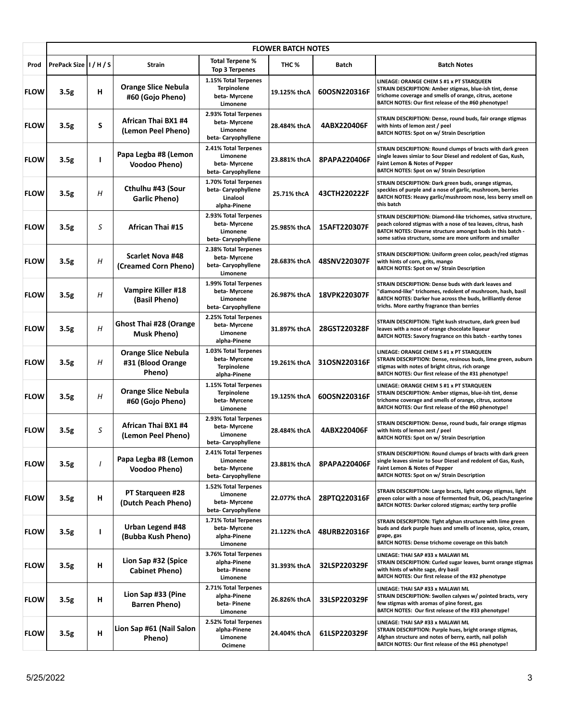|             | <b>FLOWER BATCH NOTES</b> |          |                                                           |                                                                            |              |              |                                                                                                                                                                                                                                                           |  |
|-------------|---------------------------|----------|-----------------------------------------------------------|----------------------------------------------------------------------------|--------------|--------------|-----------------------------------------------------------------------------------------------------------------------------------------------------------------------------------------------------------------------------------------------------------|--|
| Prod        | PrePack Size   I / H / S  |          | Strain                                                    | <b>Total Terpene %</b><br>Top 3 Terpenes                                   | THC %        | Batch        | <b>Batch Notes</b>                                                                                                                                                                                                                                        |  |
| <b>FLOW</b> | 3.5 <sub>g</sub>          | н        | <b>Orange Slice Nebula</b><br>#60 (Gojo Pheno)            | 1.15% Total Terpenes<br><b>Terpinolene</b><br>beta- Myrcene<br>Limonene    | 19.125% thcA | 60OSN220316F | LINEAGE: ORANGE CHEM S #1 x PT STARQUEEN<br>STRAIN DESCRIPTION: Amber stigmas, blue-ish tint, dense<br>trichome coverage and smells of orange, citrus, acetone<br>BATCH NOTES: Our first release of the #60 phenotype!                                    |  |
| <b>FLOW</b> | 3.5 <sub>g</sub>          | S        | African Thai BX1 #4<br>(Lemon Peel Pheno)                 | 2.93% Total Terpenes<br>beta- Myrcene<br>Limonene<br>beta-Caryophyllene    | 28.484% thcA | 4ABX220406F  | STRAIN DESCRIPTION: Dense, round buds, fair orange stigmas<br>with hints of lemon zest / peel<br><b>BATCH NOTES: Spot on w/ Strain Description</b>                                                                                                        |  |
| <b>FLOW</b> | 3.5g                      | I        | Papa Legba #8 (Lemon<br>Voodoo Pheno)                     | 2.41% Total Terpenes<br>Limonene<br>beta-Myrcene<br>beta-Caryophyllene     | 23.881% thcA | 8PAPA220406F | STRAIN DESCRIPTION: Round clumps of bracts with dark green<br>single leaves simiar to Sour Diesel and redolent of Gas, Kush,<br>Faint Lemon & Notes of Pepper<br><b>BATCH NOTES: Spot on w/ Strain Description</b>                                        |  |
| <b>FLOW</b> | 3.5g                      | Η        | Cthulhu #43 (Sour<br>Garlic Pheno)                        | 1.70% Total Terpenes<br>beta-Caryophyllene<br>Linalool<br>alpha-Pinene     | 25.71% thcA  | 43CTH220222F | STRAIN DESCRIPTION: Dark green buds, orange stigmas,<br>speckles of purple and a nose of garlic, mushroom, berries<br>BATCH NOTES: Heavy garlic/mushroom nose, less berry smell on<br>this batch                                                          |  |
| <b>FLOW</b> | 3.5 <sub>g</sub>          | S        | African Thai #15                                          | 2.93% Total Terpenes<br>beta- Myrcene<br>Limonene<br>beta-Caryophyllene    | 25.985% thcA | 15AFT220307F | STRAIN DESCRIPTION: Diamond-like trichomes, sativa structure,<br>peach colored stigmas with a nose of tea leaves, citrus, hash<br>BATCH NOTES: Diverse structure amongst buds in this batch -<br>some sativa structure, some are more uniform and smaller |  |
| <b>FLOW</b> | 3.5g                      | Н        | <b>Scarlet Nova #48</b><br>(Creamed Corn Pheno)           | 2.38% Total Terpenes<br>beta-Myrcene<br>beta-Caryophyllene<br>Limonene     | 28.683% thcA | 48SNV220307F | STRAIN DESCRIPTION: Uniform green color, peach/red stigmas<br>with hints of corn, grits, mango<br><b>BATCH NOTES: Spot on w/ Strain Description</b>                                                                                                       |  |
| <b>FLOW</b> | 3.5g                      | Η        | Vampire Killer #18<br>(Basil Pheno)                       | 1.99% Total Terpenes<br>beta- Myrcene<br>Limonene<br>beta-Caryophyllene    | 26.987% thcA | 18VPK220307F | STRAIN DESCRIPTION: Dense buds with dark leaves and<br>'diamond-like" trichomes, redolent of mushroom, hash, basil<br>BATCH NOTES: Darker hue across the buds, brilliantly dense<br>trichs. More earthy fragrance than berries                            |  |
| <b>FLOW</b> | 3.5g                      | H        | <b>Ghost Thai #28 (Orange</b><br><b>Musk Pheno)</b>       | 2.25% Total Terpenes<br>beta- Myrcene<br>Limonene<br>alpha-Pinene          | 31.897% thcA | 28GST220328F | STRAIN DESCRIPTION: Tight kush structure, dark green bud<br>leaves with a nose of orange chocolate liqueur<br>BATCH NOTES: Savory fragrance on this batch - earthy tones                                                                                  |  |
| <b>FLOW</b> | 3.5g                      | Н        | <b>Orange Slice Nebula</b><br>#31 (Blood Orange<br>Pheno) | 1.03% Total Terpenes<br>beta-Myrcene<br><b>Terpinolene</b><br>alpha-Pinene | 19.261% thcA | 31OSN220316F | LINEAGE: ORANGE CHEM S #1 x PT STARQUEEN<br>STRAIN DESCRIPTION: Dense, resinous buds, lime green, auburn<br>stigmas with notes of bright citrus, rich orange<br>BATCH NOTES: Our first release of the #31 phenotype!                                      |  |
| <b>FLOW</b> | 3.5 <sub>g</sub>          | H        | <b>Orange Slice Nebula</b><br>#60 (Gojo Pheno)            | 1.15% Total Terpenes<br><b>Terpinolene</b><br>beta-Myrcene<br>Limonene     | 19.125% thcA | 60OSN220316F | LINEAGE: ORANGE CHEM S #1 x PT STARQUEEN<br>STRAIN DESCRIPTION: Amber stigmas, blue-ish tint, dense<br>trichome coverage and smells of orange, citrus, acetone<br>BATCH NOTES: Our first release of the #60 phenotype!                                    |  |
| <b>FLOW</b> | 3.5 <sub>g</sub>          | S        | African Thai BX1 #4<br>(Lemon Peel Pheno)                 | 2.93% Total Terpenes<br>beta- Myrcene<br>Limonene<br>beta-Caryophyllene    | 28.484% thcA | 4ABX220406F  | STRAIN DESCRIPTION: Dense, round buds, fair orange stigmas<br>with hints of lemon zest / peel<br>BATCH NOTES: Spot on w/ Strain Description                                                                                                               |  |
| <b>FLOW</b> | 3.5g                      | $\prime$ | Papa Legba #8 (Lemon<br>Voodoo Pheno)                     | 2.41% Total Terpenes<br>Limonene<br>beta- Myrcene<br>beta-Caryophyllene    | 23.881% thcA | 8PAPA220406F | STRAIN DESCRIPTION: Round clumps of bracts with dark green<br>single leaves simiar to Sour Diesel and redolent of Gas, Kush,<br>Faint Lemon & Notes of Pepper<br><b>BATCH NOTES: Spot on w/ Strain Description</b>                                        |  |
| <b>FLOW</b> | 3.5g                      | н        | PT Starqueen #28<br>(Dutch Peach Pheno)                   | 1.52% Total Terpenes<br>Limonene<br>beta-Myrcene<br>beta-Caryophyllene     | 22.077% thcA | 28PTQ220316F | STRAIN DESCRIPTION: Large bracts, light orange stigmas, light<br>green color with a nose of fermented fruit, OG, peach/tangerine<br>BATCH NOTES: Darker colored stigmas; earthy terp profile                                                              |  |
| <b>FLOW</b> | 3.5g                      | ı        | Urban Legend #48<br>(Bubba Kush Pheno)                    | 1.71% Total Terpenes<br>beta- Myrcene<br>alpha-Pinene<br>Limonene          | 21.122% thcA | 48URB220316F | STRAIN DESCRIPTION: Tight afghan structure with lime green<br>buds and dark purple hues and smells of incense, spice, cream,<br>grape, gas<br>BATCH NOTES: Dense trichome coverage on this batch                                                          |  |
| <b>FLOW</b> | 3.5 <sub>g</sub>          | н        | Lion Sap #32 (Spice<br>Cabinet Pheno)                     | 3.76% Total Terpenes<br>alpha-Pinene<br>beta-Pinene<br>Limonene            | 31.393% thcA | 32LSP220329F | LINEAGE: THAI SAP #33 x MALAWI ML<br>STRAIN DESCRIPTION: Curled sugar leaves, burnt orange stigmas<br>with hints of white sage, dry basil<br>BATCH NOTES: Our first release of the #32 phenotype                                                          |  |
| <b>FLOW</b> | 3.5 <sub>g</sub>          | н        | Lion Sap #33 (Pine<br><b>Barren Pheno)</b>                | 2.71% Total Terpenes<br>alpha-Pinene<br>beta-Pinene<br>Limonene            | 26.826% thcA | 33LSP220329F | LINEAGE: THAI SAP #33 x MALAWI ML<br>STRAIN DESCRIPTION: Swollen calyxes w/ pointed bracts, very<br>few stigmas with aromas of pine forest, gas<br>BATCH NOTES: Our first release of the #33 phenotype!                                                   |  |
| <b>FLOW</b> | 3.5g                      | н        | Lion Sap #61 (Nail Salon<br>Pheno)                        | 2.52% Total Terpenes<br>alpha-Pinene<br>Limonene<br>Ocimene                | 24.404% thcA | 61LSP220329F | LINEAGE: THAI SAP #33 x MALAWI ML<br>STRAIN DESCRIPTION: Purple hues, bright orange stigmas,<br>Afghan structure and notes of berry, earth, nail polish<br>BATCH NOTES: Our first release of the #61 phenotype!                                           |  |